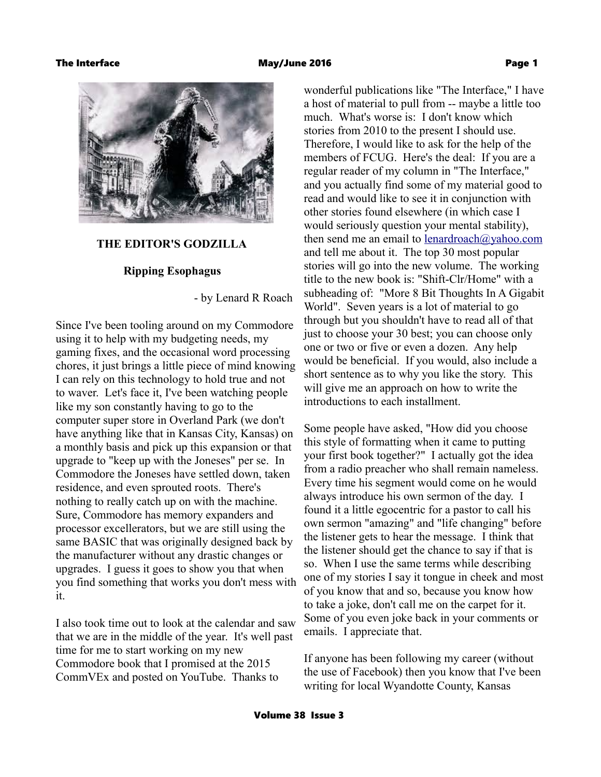

## **THE EDITOR'S GODZILLA**

## **Ripping Esophagus**

- by Lenard R Roach

Since I've been tooling around on my Commodore using it to help with my budgeting needs, my gaming fixes, and the occasional word processing chores, it just brings a little piece of mind knowing I can rely on this technology to hold true and not to waver. Let's face it, I've been watching people like my son constantly having to go to the computer super store in Overland Park (we don't have anything like that in Kansas City, Kansas) on a monthly basis and pick up this expansion or that upgrade to "keep up with the Joneses" per se. In Commodore the Joneses have settled down, taken residence, and even sprouted roots. There's nothing to really catch up on with the machine. Sure, Commodore has memory expanders and processor excellerators, but we are still using the same BASIC that was originally designed back by the manufacturer without any drastic changes or upgrades. I guess it goes to show you that when you find something that works you don't mess with it.

I also took time out to look at the calendar and saw that we are in the middle of the year. It's well past time for me to start working on my new Commodore book that I promised at the 2015 CommVEx and posted on YouTube. Thanks to

wonderful publications like "The Interface," I have a host of material to pull from -- maybe a little too much. What's worse is: I don't know which stories from 2010 to the present I should use. Therefore, I would like to ask for the help of the members of FCUG. Here's the deal: If you are a regular reader of my column in "The Interface," and you actually find some of my material good to read and would like to see it in conjunction with other stories found elsewhere (in which case I would seriously question your mental stability), then send me an email to lenardroach $\omega$ yahoo.com and tell me about it. The top 30 most popular stories will go into the new volume. The working title to the new book is: "Shift-Clr/Home" with a subheading of: "More 8 Bit Thoughts In A Gigabit World". Seven years is a lot of material to go through but you shouldn't have to read all of that just to choose your 30 best; you can choose only one or two or five or even a dozen. Any help would be beneficial. If you would, also include a short sentence as to why you like the story. This will give me an approach on how to write the introductions to each installment.

Some people have asked, "How did you choose this style of formatting when it came to putting your first book together?" I actually got the idea from a radio preacher who shall remain nameless. Every time his segment would come on he would always introduce his own sermon of the day. I found it a little egocentric for a pastor to call his own sermon "amazing" and "life changing" before the listener gets to hear the message. I think that the listener should get the chance to say if that is so. When I use the same terms while describing one of my stories I say it tongue in cheek and most of you know that and so, because you know how to take a joke, don't call me on the carpet for it. Some of you even joke back in your comments or emails. I appreciate that.

If anyone has been following my career (without the use of Facebook) then you know that I've been writing for local Wyandotte County, Kansas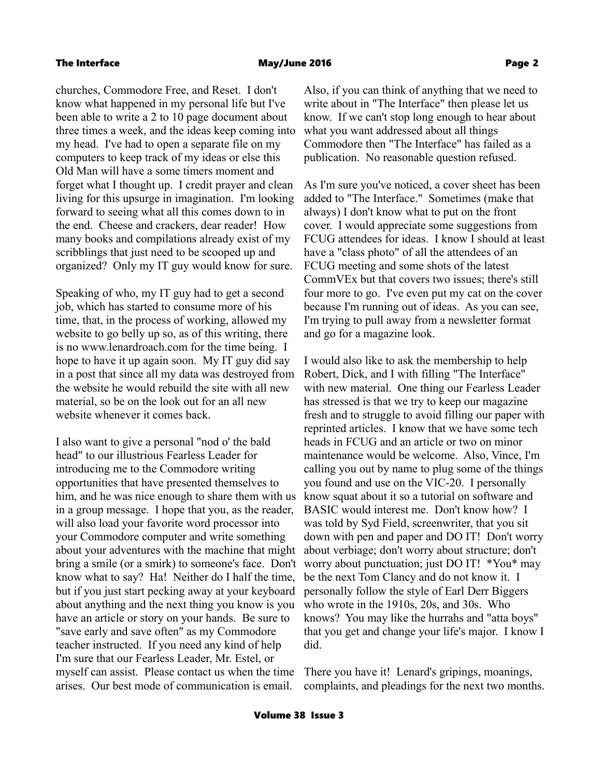churches, Commodore Free, and Reset. I don't know what happened in my personal life but I've been able to write a 2 to 10 page document about three times a week, and the ideas keep coming into my head. I've had to open a separate file on my computers to keep track of my ideas or else this Old Man will have a some timers moment and forget what I thought up. I credit prayer and clean living for this upsurge in imagination. I'm looking forward to seeing what all this comes down to in the end. Cheese and crackers, dear reader! How many books and compilations already exist of my scribblings that just need to be scooped up and organized? Only my IT guy would know for sure.

Speaking of who, my IT guy had to get a second job, which has started to consume more of his time, that, in the process of working, allowed my website to go belly up so, as of this writing, there is no www.lenardroach.com for the time being. I hope to have it up again soon. My IT guy did say in a post that since all my data was destroyed from the website he would rebuild the site with all new material, so be on the look out for an all new website whenever it comes back.

I also want to give a personal "nod o' the bald head" to our illustrious Fearless Leader for introducing me to the Commodore writing opportunities that have presented themselves to him, and he was nice enough to share them with us in a group message. I hope that you, as the reader, will also load your favorite word processor into your Commodore computer and write something about your adventures with the machine that might bring a smile (or a smirk) to someone's face. Don't know what to say? Ha! Neither do I half the time, but if you just start pecking away at your keyboard about anything and the next thing you know is you have an article or story on your hands. Be sure to "save early and save often" as my Commodore teacher instructed. If you need any kind of help I'm sure that our Fearless Leader, Mr. Estel, or myself can assist. Please contact us when the time arises. Our best mode of communication is email.

Also, if you can think of anything that we need to write about in "The Interface" then please let us know. If we can't stop long enough to hear about what you want addressed about all things Commodore then "The Interface" has failed as a publication. No reasonable question refused.

As I'm sure you've noticed, a cover sheet has been added to "The Interface." Sometimes (make that always) I don't know what to put on the front cover. I would appreciate some suggestions from FCUG attendees for ideas. I know I should at least have a "class photo" of all the attendees of an FCUG meeting and some shots of the latest CommVEx but that covers two issues; there's still four more to go. I've even put my cat on the cover because I'm running out of ideas. As you can see, I'm trying to pull away from a newsletter format and go for a magazine look.

I would also like to ask the membership to help Robert, Dick, and I with filling "The Interface" with new material. One thing our Fearless Leader has stressed is that we try to keep our magazine fresh and to struggle to avoid filling our paper with reprinted articles. I know that we have some tech heads in FCUG and an article or two on minor maintenance would be welcome. Also, Vince, I'm calling you out by name to plug some of the things you found and use on the VIC-20. I personally know squat about it so a tutorial on software and BASIC would interest me. Don't know how? I was told by Syd Field, screenwriter, that you sit down with pen and paper and DO IT! Don't worry about verbiage; don't worry about structure; don't worry about punctuation; just DO IT! \*You\* may be the next Tom Clancy and do not know it. I personally follow the style of Earl Derr Biggers who wrote in the 1910s, 20s, and 30s. Who knows? You may like the hurrahs and "atta boys" that you get and change your life's major. I know I did.

There you have it! Lenard's gripings, moanings, complaints, and pleadings for the next two months.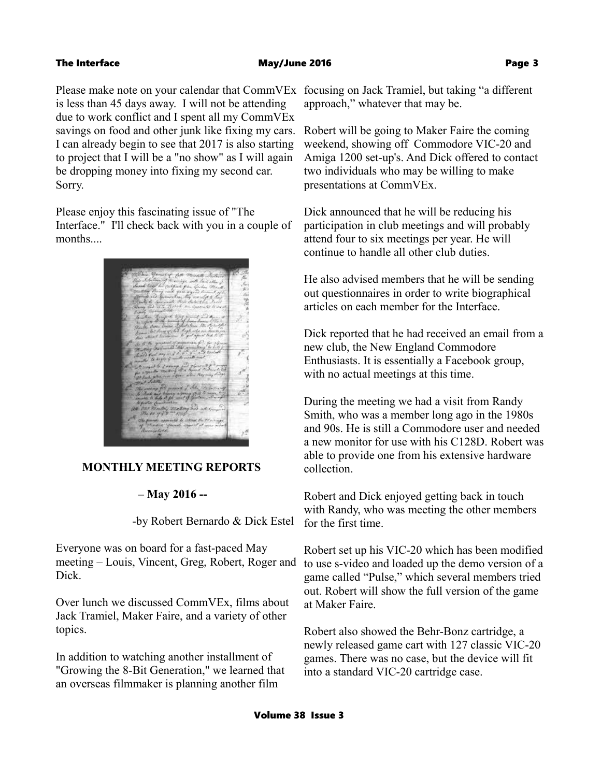### The Interface **May/June 2016 May 2016 Page 3**

Please make note on your calendar that CommVEx focusing on Jack Tramiel, but taking "a different is less than 45 days away. I will not be attending due to work conflict and I spent all my CommVEx savings on food and other junk like fixing my cars. I can already begin to see that 2017 is also starting to project that I will be a "no show" as I will again be dropping money into fixing my second car. Sorry.

Please enjoy this fascinating issue of "The Interface." I'll check back with you in a couple of months....



## **MONTHLY MEETING REPORTS**

# **– May 2016 --**

-by Robert Bernardo & Dick Estel

Everyone was on board for a fast-paced May meeting – Louis, Vincent, Greg, Robert, Roger and Dick.

Over lunch we discussed CommVEx, films about Jack Tramiel, Maker Faire, and a variety of other topics.

In addition to watching another installment of "Growing the 8-Bit Generation," we learned that an overseas filmmaker is planning another film

approach," whatever that may be.

Robert will be going to Maker Faire the coming weekend, showing off Commodore VIC-20 and Amiga 1200 set-up's. And Dick offered to contact two individuals who may be willing to make presentations at CommVEx.

Dick announced that he will be reducing his participation in club meetings and will probably attend four to six meetings per year. He will continue to handle all other club duties.

He also advised members that he will be sending out questionnaires in order to write biographical articles on each member for the Interface.

Dick reported that he had received an email from a new club, the New England Commodore Enthusiasts. It is essentially a Facebook group, with no actual meetings at this time.

During the meeting we had a visit from Randy Smith, who was a member long ago in the 1980s and 90s. He is still a Commodore user and needed a new monitor for use with his C128D. Robert was able to provide one from his extensive hardware collection.

Robert and Dick enjoyed getting back in touch with Randy, who was meeting the other members for the first time.

Robert set up his VIC-20 which has been modified to use s-video and loaded up the demo version of a game called "Pulse," which several members tried out. Robert will show the full version of the game at Maker Faire.

Robert also showed the Behr-Bonz cartridge, a newly released game cart with 127 classic VIC-20 games. There was no case, but the device will fit into a standard VIC-20 cartridge case.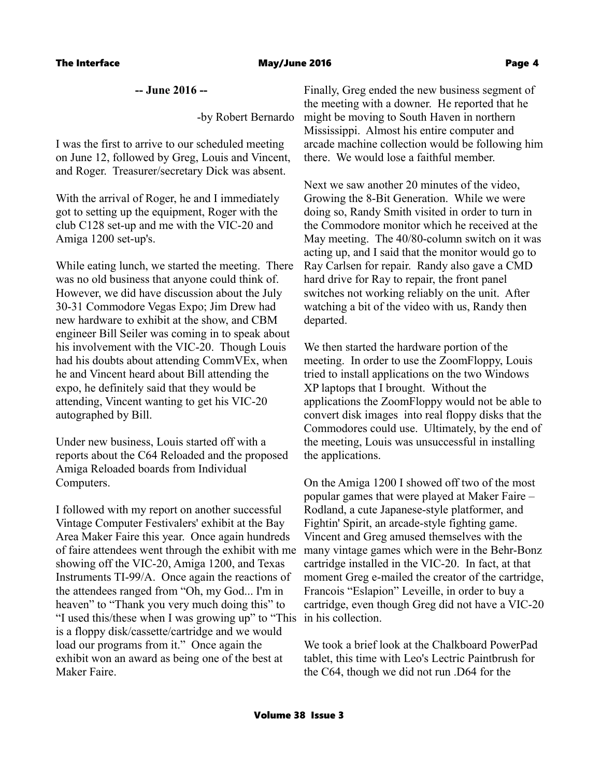## **-- June 2016 --**

-by Robert Bernardo

I was the first to arrive to our scheduled meeting on June 12, followed by Greg, Louis and Vincent, and Roger. Treasurer/secretary Dick was absent.

With the arrival of Roger, he and I immediately got to setting up the equipment, Roger with the club C128 set-up and me with the VIC-20 and Amiga 1200 set-up's.

While eating lunch, we started the meeting. There was no old business that anyone could think of. However, we did have discussion about the July 30-31 Commodore Vegas Expo; Jim Drew had new hardware to exhibit at the show, and CBM engineer Bill Seiler was coming in to speak about his involvement with the VIC-20. Though Louis had his doubts about attending CommVEx, when he and Vincent heard about Bill attending the expo, he definitely said that they would be attending, Vincent wanting to get his VIC-20 autographed by Bill.

Under new business, Louis started off with a reports about the C64 Reloaded and the proposed Amiga Reloaded boards from Individual Computers.

I followed with my report on another successful Vintage Computer Festivalers' exhibit at the Bay Area Maker Faire this year. Once again hundreds of faire attendees went through the exhibit with me showing off the VIC-20, Amiga 1200, and Texas Instruments TI-99/A. Once again the reactions of the attendees ranged from "Oh, my God... I'm in heaven" to "Thank you very much doing this" to "I used this/these when I was growing up" to "This in his collection. is a floppy disk/cassette/cartridge and we would load our programs from it." Once again the exhibit won an award as being one of the best at Maker Faire.

Finally, Greg ended the new business segment of the meeting with a downer. He reported that he might be moving to South Haven in northern Mississippi. Almost his entire computer and arcade machine collection would be following him there. We would lose a faithful member.

Next we saw another 20 minutes of the video, Growing the 8-Bit Generation. While we were doing so, Randy Smith visited in order to turn in the Commodore monitor which he received at the May meeting. The 40/80-column switch on it was acting up, and I said that the monitor would go to Ray Carlsen for repair. Randy also gave a CMD hard drive for Ray to repair, the front panel switches not working reliably on the unit. After watching a bit of the video with us, Randy then departed.

We then started the hardware portion of the meeting. In order to use the ZoomFloppy, Louis tried to install applications on the two Windows XP laptops that I brought. Without the applications the ZoomFloppy would not be able to convert disk images into real floppy disks that the Commodores could use. Ultimately, by the end of the meeting, Louis was unsuccessful in installing the applications.

On the Amiga 1200 I showed off two of the most popular games that were played at Maker Faire – Rodland, a cute Japanese-style platformer, and Fightin' Spirit, an arcade-style fighting game. Vincent and Greg amused themselves with the many vintage games which were in the Behr-Bonz cartridge installed in the VIC-20. In fact, at that moment Greg e-mailed the creator of the cartridge, Francois "Eslapion" Leveille, in order to buy a cartridge, even though Greg did not have a VIC-20

We took a brief look at the Chalkboard PowerPad tablet, this time with Leo's Lectric Paintbrush for the C64, though we did not run .D64 for the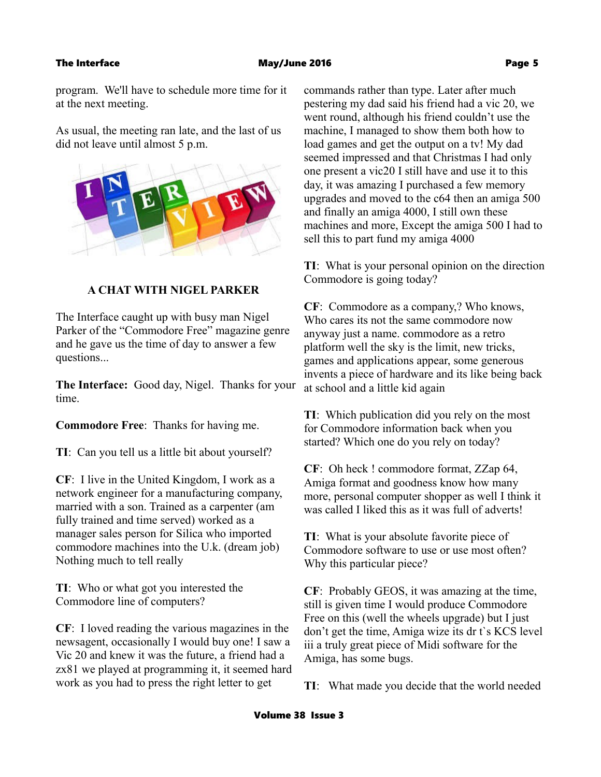program. We'll have to schedule more time for it at the next meeting.

As usual, the meeting ran late, and the last of us did not leave until almost 5 p.m.



## **A CHAT WITH NIGEL PARKER**

The Interface caught up with busy man Nigel Parker of the "Commodore Free" magazine genre and he gave us the time of day to answer a few questions...

**The Interface:** Good day, Nigel. Thanks for your time.

**Commodore Free**: Thanks for having me.

**TI**: Can you tell us a little bit about yourself?

**CF**: I live in the United Kingdom, I work as a network engineer for a manufacturing company, married with a son. Trained as a carpenter (am fully trained and time served) worked as a manager sales person for Silica who imported commodore machines into the U.k. (dream job) Nothing much to tell really

**TI**: Who or what got you interested the Commodore line of computers?

**CF**: I loved reading the various magazines in the newsagent, occasionally I would buy one! I saw a Vic 20 and knew it was the future, a friend had a zx81 we played at programming it, it seemed hard work as you had to press the right letter to get

commands rather than type. Later after much pestering my dad said his friend had a vic 20, we went round, although his friend couldn't use the machine, I managed to show them both how to load games and get the output on a tv! My dad seemed impressed and that Christmas I had only one present a vic20 I still have and use it to this day, it was amazing I purchased a few memory upgrades and moved to the c64 then an amiga 500 and finally an amiga 4000, I still own these machines and more, Except the amiga 500 I had to sell this to part fund my amiga 4000

**TI**: What is your personal opinion on the direction Commodore is going today?

**CF**: Commodore as a company,? Who knows, Who cares its not the same commodore now anyway just a name. commodore as a retro platform well the sky is the limit, new tricks, games and applications appear, some generous invents a piece of hardware and its like being back at school and a little kid again

**TI**: Which publication did you rely on the most for Commodore information back when you started? Which one do you rely on today?

**CF**: Oh heck ! commodore format, ZZap 64, Amiga format and goodness know how many more, personal computer shopper as well I think it was called I liked this as it was full of adverts!

**TI**: What is your absolute favorite piece of Commodore software to use or use most often? Why this particular piece?

**CF**: Probably GEOS, it was amazing at the time, still is given time I would produce Commodore Free on this (well the wheels upgrade) but I just don't get the time, Amiga wize its dr t`s KCS level iii a truly great piece of Midi software for the Amiga, has some bugs.

**TI**: What made you decide that the world needed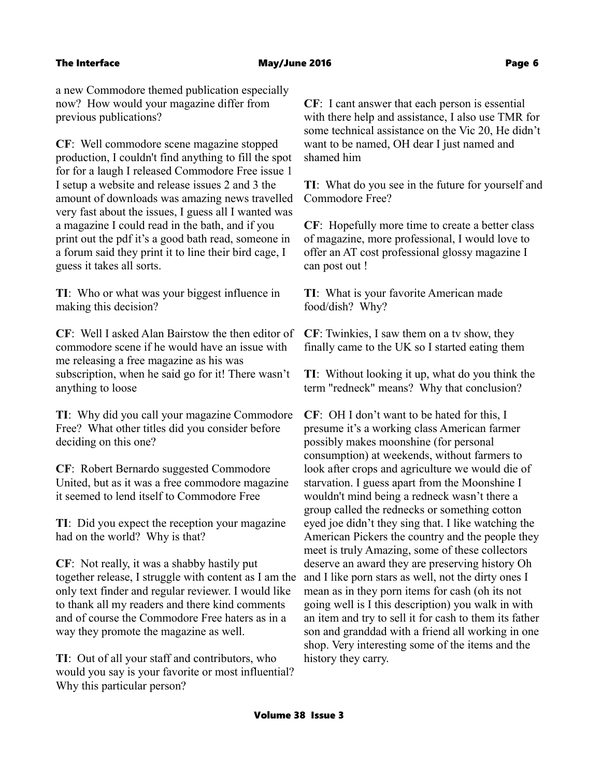a new Commodore themed publication especially now? How would your magazine differ from previous publications?

**CF**: Well commodore scene magazine stopped production, I couldn't find anything to fill the spot for for a laugh I released Commodore Free issue 1 I setup a website and release issues 2 and 3 the amount of downloads was amazing news travelled very fast about the issues, I guess all I wanted was a magazine I could read in the bath, and if you print out the pdf it's a good bath read, someone in a forum said they print it to line their bird cage, I guess it takes all sorts.

**TI**: Who or what was your biggest influence in making this decision?

**CF**: Well I asked Alan Bairstow the then editor of commodore scene if he would have an issue with me releasing a free magazine as his was subscription, when he said go for it! There wasn't anything to loose

**TI**: Why did you call your magazine Commodore Free? What other titles did you consider before deciding on this one?

**CF**: Robert Bernardo suggested Commodore United, but as it was a free commodore magazine it seemed to lend itself to Commodore Free

**TI**: Did you expect the reception your magazine had on the world? Why is that?

**CF**: Not really, it was a shabby hastily put together release, I struggle with content as I am the only text finder and regular reviewer. I would like to thank all my readers and there kind comments and of course the Commodore Free haters as in a way they promote the magazine as well.

**TI**: Out of all your staff and contributors, who would you say is your favorite or most influential? Why this particular person?

**CF**: I cant answer that each person is essential with there help and assistance, I also use TMR for some technical assistance on the Vic 20, He didn't want to be named, OH dear I just named and shamed him

**TI**: What do you see in the future for yourself and Commodore Free?

**CF**: Hopefully more time to create a better class of magazine, more professional, I would love to offer an AT cost professional glossy magazine I can post out !

**TI**: What is your favorite American made food/dish? Why?

**CF**: Twinkies, I saw them on a tv show, they finally came to the UK so I started eating them

**TI**: Without looking it up, what do you think the term "redneck" means? Why that conclusion?

**CF**: OH I don't want to be hated for this, I presume it's a working class American farmer possibly makes moonshine (for personal consumption) at weekends, without farmers to look after crops and agriculture we would die of starvation. I guess apart from the Moonshine I wouldn't mind being a redneck wasn't there a group called the rednecks or something cotton eyed joe didn't they sing that. I like watching the American Pickers the country and the people they meet is truly Amazing, some of these collectors deserve an award they are preserving history Oh and I like porn stars as well, not the dirty ones I mean as in they porn items for cash (oh its not going well is I this description) you walk in with an item and try to sell it for cash to them its father son and granddad with a friend all working in one shop. Very interesting some of the items and the history they carry.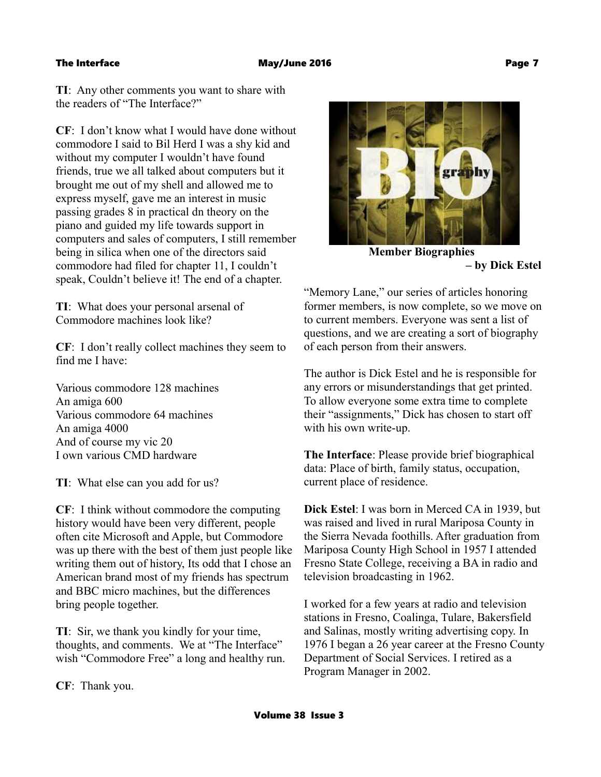**TI**: Any other comments you want to share with the readers of "The Interface?"

**CF**: I don't know what I would have done without commodore I said to Bil Herd I was a shy kid and without my computer I wouldn't have found friends, true we all talked about computers but it brought me out of my shell and allowed me to express myself, gave me an interest in music passing grades 8 in practical dn theory on the piano and guided my life towards support in computers and sales of computers, I still remember being in silica when one of the directors said commodore had filed for chapter 11, I couldn't speak, Couldn't believe it! The end of a chapter.

**TI**: What does your personal arsenal of Commodore machines look like?

**CF**: I don't really collect machines they seem to find me I have:

Various commodore 128 machines An amiga 600 Various commodore 64 machines An amiga 4000 And of course my vic 20 I own various CMD hardware

**TI**: What else can you add for us?

**CF**: I think without commodore the computing history would have been very different, people often cite Microsoft and Apple, but Commodore was up there with the best of them just people like writing them out of history, Its odd that I chose an American brand most of my friends has spectrum and BBC micro machines, but the differences bring people together.

**TI**: Sir, we thank you kindly for your time, thoughts, and comments. We at "The Interface" wish "Commodore Free" a long and healthy run.

**CF**: Thank you.



 **Member Biographies – by Dick Estel**

"Memory Lane," our series of articles honoring former members, is now complete, so we move on to current members. Everyone was sent a list of questions, and we are creating a sort of biography of each person from their answers.

The author is Dick Estel and he is responsible for any errors or misunderstandings that get printed. To allow everyone some extra time to complete their "assignments," Dick has chosen to start off with his own write-up.

**The Interface**: Please provide brief biographical data: Place of birth, family status, occupation, current place of residence.

**Dick Estel**: I was born in Merced CA in 1939, but was raised and lived in rural Mariposa County in the Sierra Nevada foothills. After graduation from Mariposa County High School in 1957 I attended Fresno State College, receiving a BA in radio and television broadcasting in 1962.

I worked for a few years at radio and television stations in Fresno, Coalinga, Tulare, Bakersfield and Salinas, mostly writing advertising copy. In 1976 I began a 26 year career at the Fresno County Department of Social Services. I retired as a Program Manager in 2002.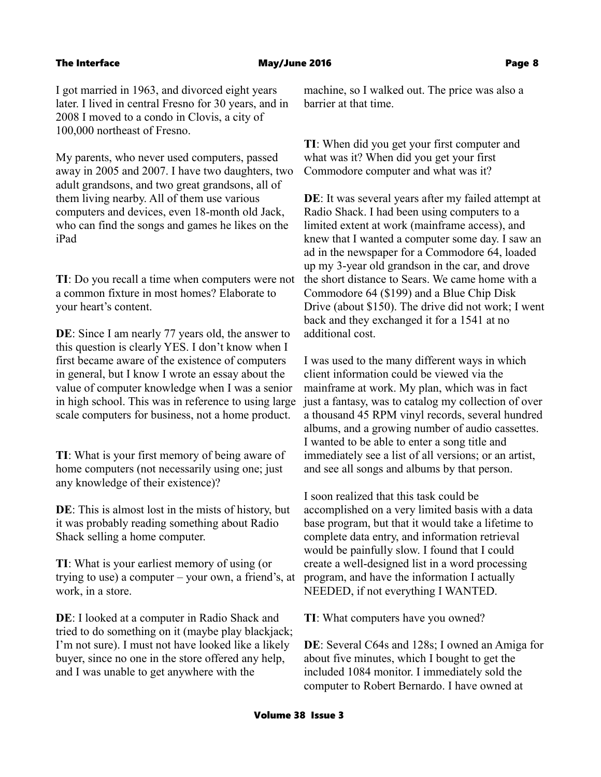I got married in 1963, and divorced eight years later. I lived in central Fresno for 30 years, and in 2008 I moved to a condo in Clovis, a city of 100,000 northeast of Fresno.

My parents, who never used computers, passed away in 2005 and 2007. I have two daughters, two adult grandsons, and two great grandsons, all of them living nearby. All of them use various computers and devices, even 18-month old Jack, who can find the songs and games he likes on the iPad

**TI**: Do you recall a time when computers were not a common fixture in most homes? Elaborate to your heart's content.

**DE**: Since I am nearly 77 years old, the answer to this question is clearly YES. I don't know when I first became aware of the existence of computers in general, but I know I wrote an essay about the value of computer knowledge when I was a senior in high school. This was in reference to using large scale computers for business, not a home product.

**TI**: What is your first memory of being aware of home computers (not necessarily using one; just any knowledge of their existence)?

**DE**: This is almost lost in the mists of history, but it was probably reading something about Radio Shack selling a home computer.

**TI**: What is your earliest memory of using (or trying to use) a computer – your own, a friend's, at work, in a store.

**DE**: I looked at a computer in Radio Shack and tried to do something on it (maybe play blackjack; I'm not sure). I must not have looked like a likely buyer, since no one in the store offered any help, and I was unable to get anywhere with the

machine, so I walked out. The price was also a barrier at that time.

**TI**: When did you get your first computer and what was it? When did you get your first Commodore computer and what was it?

**DE**: It was several years after my failed attempt at Radio Shack. I had been using computers to a limited extent at work (mainframe access), and knew that I wanted a computer some day. I saw an ad in the newspaper for a Commodore 64, loaded up my 3-year old grandson in the car, and drove the short distance to Sears. We came home with a Commodore 64 (\$199) and a Blue Chip Disk Drive (about \$150). The drive did not work; I went back and they exchanged it for a 1541 at no additional cost.

I was used to the many different ways in which client information could be viewed via the mainframe at work. My plan, which was in fact just a fantasy, was to catalog my collection of over a thousand 45 RPM vinyl records, several hundred albums, and a growing number of audio cassettes. I wanted to be able to enter a song title and immediately see a list of all versions; or an artist, and see all songs and albums by that person.

I soon realized that this task could be accomplished on a very limited basis with a data base program, but that it would take a lifetime to complete data entry, and information retrieval would be painfully slow. I found that I could create a well-designed list in a word processing program, and have the information I actually NEEDED, if not everything I WANTED.

**TI**: What computers have you owned?

**DE**: Several C64s and 128s; I owned an Amiga for about five minutes, which I bought to get the included 1084 monitor. I immediately sold the computer to Robert Bernardo. I have owned at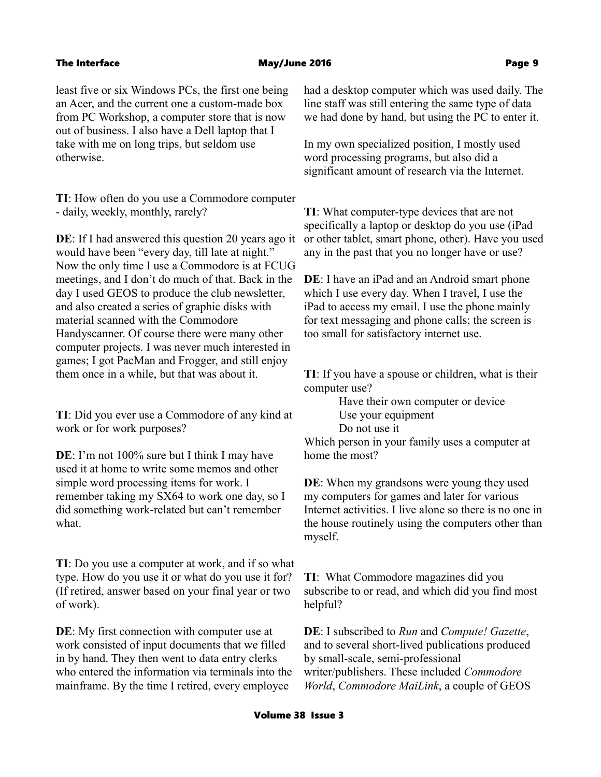least five or six Windows PCs, the first one being an Acer, and the current one a custom-made box from PC Workshop, a computer store that is now out of business. I also have a Dell laptop that I take with me on long trips, but seldom use otherwise.

**TI**: How often do you use a Commodore computer - daily, weekly, monthly, rarely?

**DE**: If I had answered this question 20 years ago it would have been "every day, till late at night." Now the only time I use a Commodore is at FCUG meetings, and I don't do much of that. Back in the day I used GEOS to produce the club newsletter, and also created a series of graphic disks with material scanned with the Commodore Handyscanner. Of course there were many other computer projects. I was never much interested in games; I got PacMan and Frogger, and still enjoy them once in a while, but that was about it.

**TI**: Did you ever use a Commodore of any kind at work or for work purposes?

**DE**: I'm not 100% sure but I think I may have used it at home to write some memos and other simple word processing items for work. I remember taking my SX64 to work one day, so I did something work-related but can't remember what.

**TI**: Do you use a computer at work, and if so what type. How do you use it or what do you use it for? (If retired, answer based on your final year or two of work).

**DE**: My first connection with computer use at work consisted of input documents that we filled in by hand. They then went to data entry clerks who entered the information via terminals into the mainframe. By the time I retired, every employee

had a desktop computer which was used daily. The line staff was still entering the same type of data we had done by hand, but using the PC to enter it.

In my own specialized position, I mostly used word processing programs, but also did a significant amount of research via the Internet.

**TI**: What computer-type devices that are not specifically a laptop or desktop do you use (iPad or other tablet, smart phone, other). Have you used any in the past that you no longer have or use?

**DE**: I have an iPad and an Android smart phone which I use every day. When I travel, I use the iPad to access my email. I use the phone mainly for text messaging and phone calls; the screen is too small for satisfactory internet use.

**TI**: If you have a spouse or children, what is their computer use?

> Have their own computer or device Use your equipment

Do not use it

Which person in your family uses a computer at home the most?

**DE**: When my grandsons were young they used my computers for games and later for various Internet activities. I live alone so there is no one in the house routinely using the computers other than myself.

**TI**: What Commodore magazines did you subscribe to or read, and which did you find most helpful?

**DE**: I subscribed to *Run* and *Compute! Gazette*, and to several short-lived publications produced by small-scale, semi-professional writer/publishers. These included *Commodore World*, *Commodore MaiLink*, a couple of GEOS